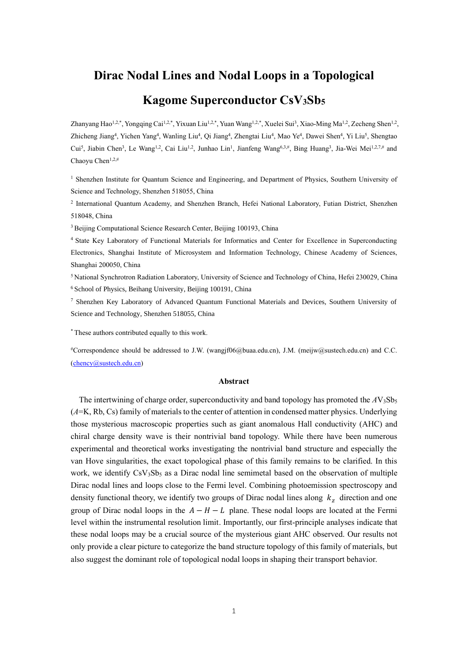## **Dirac Nodal Lines and Nodal Loops in a Topological**

# **Kagome Superconductor CsV3Sb<sup>5</sup>**

Zhanyang Hao<sup>1,2,\*</sup>, Yongqing Cai<sup>1,2,\*</sup>, Yixuan Liu<sup>1,2,\*</sup>, Yuan Wang<sup>1,2,\*</sup>, Xuelei Sui<sup>3</sup>, Xiao-Ming Ma<sup>1,2</sup>, Zecheng Shen<sup>1,2</sup>, Zhicheng Jiang<sup>4</sup>, Yichen Yang<sup>4</sup>, Wanling Liu<sup>4</sup>, Qi Jiang<sup>4</sup>, Zhengtai Liu<sup>4</sup>, Mao Ye<sup>4</sup>, Dawei Shen<sup>4</sup>, Yi Liu<sup>5</sup>, Shengtao Cui<sup>5</sup>, Jiabin Chen<sup>3</sup>, Le Wang<sup>1,2</sup>, Cai Liu<sup>1,2</sup>, Junhao Lin<sup>1</sup>, Jianfeng Wang<sup>6,3,#</sup>, Bing Huang<sup>3</sup>, Jia-Wei Mei<sup>1,2,7,#</sup> and Chaoyu Chen1,2,#

<sup>1</sup> Shenzhen Institute for Quantum Science and Engineering, and Department of Physics, Southern University of Science and Technology, Shenzhen 518055, China

2 International Quantum Academy, and Shenzhen Branch, Hefei National Laboratory, Futian District, Shenzhen 518048, China

<sup>3</sup> Beijing Computational Science Research Center, Beijing 100193, China

<sup>4</sup> State Key Laboratory of Functional Materials for Informatics and Center for Excellence in Superconducting Electronics, Shanghai Institute of Microsystem and Information Technology, Chinese Academy of Sciences, Shanghai 200050, China

<sup>5</sup> National Synchrotron Radiation Laboratory, University of Science and Technology of China, Hefei 230029, China <sup>6</sup> School of Physics, Beihang University, Beijing 100191, China

<sup>7</sup> Shenzhen Key Laboratory of Advanced Quantum Functional Materials and Devices, Southern University of Science and Technology, Shenzhen 518055, China

\* These authors contributed equally to this work.

#Correspondence should be addressed to J.W. (wangjf06@buaa.edu.cn), J.M. (meijw@sustech.edu.cn) and C.C. [\(chency@sustech.edu.cn\)](mailto:chency@sustech.edu.cn)

#### **Abstract**

The intertwining of charge order, superconductivity and band topology has promoted the  $AV_3Sb_5$ (*A*=K, Rb, Cs) family of materials to the center of attention in condensed matter physics. Underlying those mysterious macroscopic properties such as giant anomalous Hall conductivity (AHC) and chiral charge density wave is their nontrivial band topology. While there have been numerous experimental and theoretical works investigating the nontrivial band structure and especially the van Hove singularities, the exact topological phase of this family remains to be clarified. In this work, we identify  $\text{CsV}_3\text{Sb}_5$  as a Dirac nodal line semimetal based on the observation of multiple Dirac nodal lines and loops close to the Fermi level. Combining photoemission spectroscopy and density functional theory, we identify two groups of Dirac nodal lines along  $k_z$  direction and one group of Dirac nodal loops in the  $A - H - L$  plane. These nodal loops are located at the Fermi level within the instrumental resolution limit. Importantly, our first-principle analyses indicate that these nodal loops may be a crucial source of the mysterious giant AHC observed. Our results not only provide a clear picture to categorize the band structure topology of this family of materials, but also suggest the dominant role of topological nodal loops in shaping their transport behavior.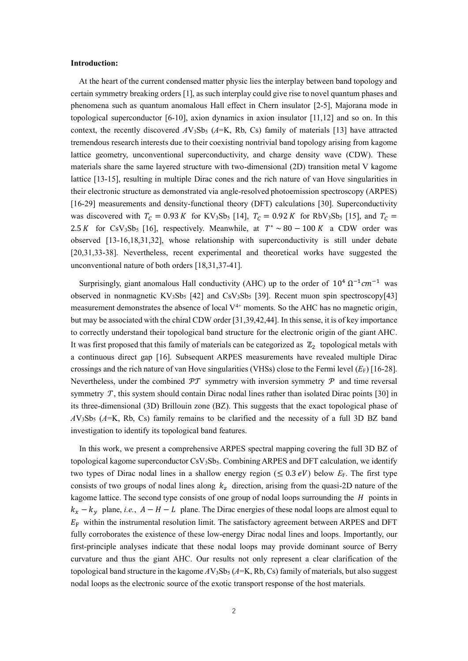#### **Introduction:**

At the heart of the current condensed matter physic lies the interplay between band topology and certain symmetry breaking orders [1], as such interplay could give rise to novel quantum phases and phenomena such as quantum anomalous Hall effect in Chern insulator [2-5], Majorana mode in topological superconductor [6-10], axion dynamics in axion insulator [11,12] and so on. In this context, the recently discovered  $AV_3Sb_5$  ( $A=K$ , Rb, Cs) family of materials [13] have attracted tremendous research interests due to their coexisting nontrivial band topology arising from kagome lattice geometry, unconventional superconductivity, and charge density wave (CDW). These materials share the same layered structure with two-dimensional (2D) transition metal V kagome lattice [13-15], resulting in multiple Dirac cones and the rich nature of van Hove singularities in their electronic structure as demonstrated via angle-resolved photoemission spectroscopy (ARPES) [16-29] measurements and density-functional theory (DFT) calculations [30]. Superconductivity was discovered with  $T_c = 0.93 K$  for KV<sub>3</sub>Sb<sub>5</sub> [14],  $T_c = 0.92 K$  for RbV<sub>3</sub>Sb<sub>5</sub> [15], and  $T_c =$ 2.5 K for CsV<sub>3</sub>Sb<sub>5</sub> [16], respectively. Meanwhile, at  $T^* \sim 80 - 100 K$  a CDW order was observed [13-16,18,31,32], whose relationship with superconductivity is still under debate [20,31,33-38]. Nevertheless, recent experimental and theoretical works have suggested the unconventional nature of both orders [18,31,37-41].

Surprisingly, giant anomalous Hall conductivity (AHC) up to the order of  $10^4 \Omega^{-1} \text{cm}^{-1}$  was observed in nonmagnetic  $KV_3Sb_5$  [42] and  $CsV_3Sb_5$  [39]. Recent muon spin spectroscopy[43] measurement demonstrates the absence of local  $V^{4+}$  moments. So the AHC has no magnetic origin, but may be associated with the chiral CDW order [31,39,42,44]. In this sense, it is of key importance to correctly understand their topological band structure for the electronic origin of the giant AHC. It was first proposed that this family of materials can be categorized as  $\mathbb{Z}_2$  topological metals with a continuous direct gap [16]. Subsequent ARPES measurements have revealed multiple Dirac crossings and the rich nature of van Hove singularities (VHSs) close to the Fermi level  $(E_F)$  [16-28]. Nevertheless, under the combined  $\mathcal{P}\mathcal{T}$  symmetry with inversion symmetry  $\mathcal{P}$  and time reversal symmetry  $\mathcal T$ , this system should contain Dirac nodal lines rather than isolated Dirac points [30] in its three-dimensional (3D) Brillouin zone (BZ). This suggests that the exact topological phase of  $AV_3Sb_5$  ( $A=K$ , Rb, Cs) family remains to be clarified and the necessity of a full 3D BZ band investigation to identify its topological band features.

In this work, we present a comprehensive ARPES spectral mapping covering the full 3D BZ of topological kagome superconductor CsV<sub>3</sub>Sb<sub>5</sub>. Combining ARPES and DFT calculation, we identify two types of Dirac nodal lines in a shallow energy region ( $\leq 0.3$  eV) below  $E<sub>F</sub>$ . The first type consists of two groups of nodal lines along  $k_z$  direction, arising from the quasi-2D nature of the kagome lattice. The second type consists of one group of nodal loops surrounding the  $H$  points in  $k_x - k_y$  plane, *i.e.*,  $A - H - L$  plane. The Dirac energies of these nodal loops are almost equal to  $E_F$  within the instrumental resolution limit. The satisfactory agreement between ARPES and DFT fully corroborates the existence of these low-energy Dirac nodal lines and loops. Importantly, our first-principle analyses indicate that these nodal loops may provide dominant source of Berry curvature and thus the giant AHC. Our results not only represent a clear clarification of the topological band structure in the kagome  $AV_3Sb_5$  ( $A=K$ , Rb, Cs) family of materials, but also suggest nodal loops as the electronic source of the exotic transport response of the host materials.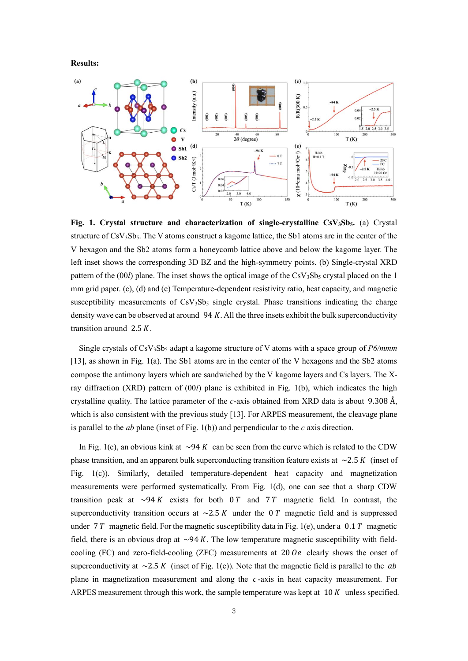**Results:**



**Fig. 1. Crystal structure and characterization of single-crystalline CsV3Sb5.** (a) Crystal structure of CsV<sub>3</sub>Sb<sub>5</sub>. The V atoms construct a kagome lattice, the Sb1 atoms are in the center of the V hexagon and the Sb2 atoms form a honeycomb lattice above and below the kagome layer. The left inset shows the corresponding 3D BZ and the high-symmetry points. (b) Single-crystal XRD pattern of the  $(00l)$  plane. The inset shows the optical image of the CsV<sub>3</sub>Sb<sub>5</sub> crystal placed on the 1 mm grid paper. (c), (d) and (e) Temperature-dependent resistivity ratio, heat capacity, and magnetic susceptibility measurements of  $CsV<sub>3</sub>Sb<sub>5</sub>$  single crystal. Phase transitions indicating the charge density wave can be observed at around  $94 K$ . All the three insets exhibit the bulk superconductivity transition around  $2.5 K$ .

Single crystals of CsV3Sb<sup>5</sup> adapt a kagome structure of V atoms with a space group of *P6/mmm* [13], as shown in Fig. 1(a). The Sb1 atoms are in the center of the V hexagons and the Sb2 atoms compose the antimony layers which are sandwiched by the V kagome layers and Cs layers. The Xray diffraction (XRD) pattern of (00*l*) plane is exhibited in Fig. 1(b), which indicates the high crystalline quality. The lattice parameter of the *c*-axis obtained from XRD data is about 9.308 Å, which is also consistent with the previous study [13]. For ARPES measurement, the cleavage plane is parallel to the *ab* plane (inset of Fig. 1(b)) and perpendicular to the *c* axis direction.

In Fig. 1(c), an obvious kink at  $\sim$ 94 K can be seen from the curve which is related to the CDW phase transition, and an apparent bulk superconducting transition feature exists at  $\sim$ 2.5 K (inset of Fig. 1(c)). Similarly, detailed temperature-dependent heat capacity and magnetization measurements were performed systematically. From Fig. 1(d), one can see that a sharp CDW transition peak at  $\sim$ 94 K exists for both 0 T and 7 T magnetic field. In contrast, the superconductivity transition occurs at  $\sim$  2.5 K under the 0 T magnetic field and is suppressed under 7  $T$  magnetic field. For the magnetic susceptibility data in Fig. 1(e), under a 0.1  $T$  magnetic field, there is an obvious drop at  $\sim$ 94 K. The low temperature magnetic susceptibility with fieldcooling (FC) and zero-field-cooling (ZFC) measurements at  $200e$  clearly shows the onset of superconductivity at  $\sim$  2.5 K (inset of Fig. 1(e)). Note that the magnetic field is parallel to the ab plane in magnetization measurement and along the  $c$ -axis in heat capacity measurement. For ARPES measurement through this work, the sample temperature was kept at  $10 K$  unless specified.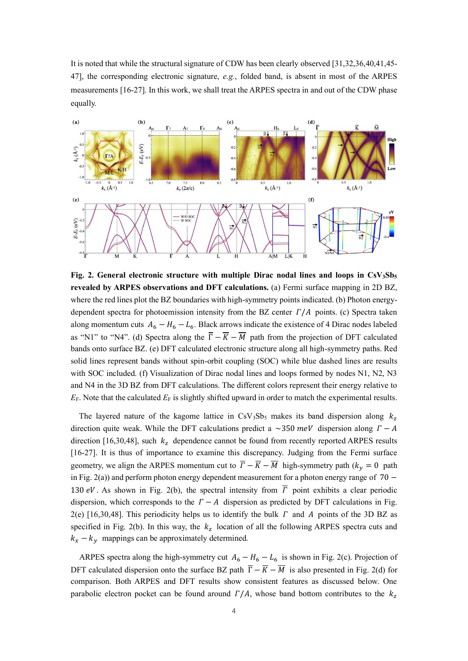It is noted that while the structural signature of CDW has been clearly observed [31,32,36,40,41,45- 47], the corresponding electronic signature, *e.g.*, folded band, is absent in most of the ARPES measurements [16-27]. In this work, we shall treat the ARPES spectra in and out of the CDW phase equally.



**Fig. 2. General electronic structure with multiple Dirac nodal lines and loops in CsV3Sb<sup>5</sup> revealed by ARPES observations and DFT calculations.** (a) Fermi surface mapping in 2D BZ, where the red lines plot the BZ boundaries with high-symmetry points indicated. (b) Photon energydependent spectra for photoemission intensity from the BZ center  $\Gamma/A$  points. (c) Spectra taken along momentum cuts  $A_6 - H_6 - L_6$ . Black arrows indicate the existence of 4 Dirac nodes labeled as "N1" to "N4". (d) Spectra along the  $\overline{\Gamma} - \overline{K} - \overline{M}$  path from the projection of DFT calculated bands onto surface BZ. (e) DFT calculated electronic structure along all high-symmetry paths. Red solid lines represent bands without spin-orbit coupling (SOC) while blue dashed lines are results with SOC included. (f) Visualization of Dirac nodal lines and loops formed by nodes N1, N2, N3 and N4 in the 3D BZ from DFT calculations. The different colors represent their energy relative to *E*F. Note that the calculated *E*<sub>F</sub> is slightly shifted upward in order to match the experimental results.

The layered nature of the kagome lattice in CsV<sub>3</sub>Sb<sub>5</sub> makes its band dispersion along  $k_z$ direction quite weak. While the DFT calculations predict a  $\sim$ 350 meV dispersion along  $\Gamma - A$ direction [16,30,48], such  $k<sub>z</sub>$  dependence cannot be found from recently reported ARPES results [16-27]. It is thus of importance to examine this discrepancy. Judging from the Fermi surface geometry, we align the ARPES momentum cut to  $\overline{\Gamma} - \overline{K} - \overline{M}$  high-symmetry path  $(k_v = 0$  path in Fig. 2(a)) and perform photon energy dependent measurement for a photon energy range of 70 − 130 eV. As shown in Fig. 2(b), the spectral intensity from  $\overline{\Gamma}$  point exhibits a clear periodic dispersion, which corresponds to the  $\Gamma - A$  dispersion as predicted by DFT calculations in Fig. 2(e) [16,30,48]. This periodicity helps us to identify the bulk  $\Gamma$  and  $\Lambda$  points of the 3D BZ as specified in Fig. 2(b). In this way, the  $k_z$  location of all the following ARPES spectra cuts and  $k_x - k_y$  mappings can be approximately determined.

ARPES spectra along the high-symmetry cut  $A_6 - H_6 - L_6$  is shown in Fig. 2(c). Projection of DFT calculated dispersion onto the surface BZ path  $\overline{\Gamma} - \overline{K} - \overline{M}$  is also presented in Fig. 2(d) for comparison. Both ARPES and DFT results show consistent features as discussed below. One parabolic electron pocket can be found around  $\Gamma/A$ , whose band bottom contributes to the  $k_z$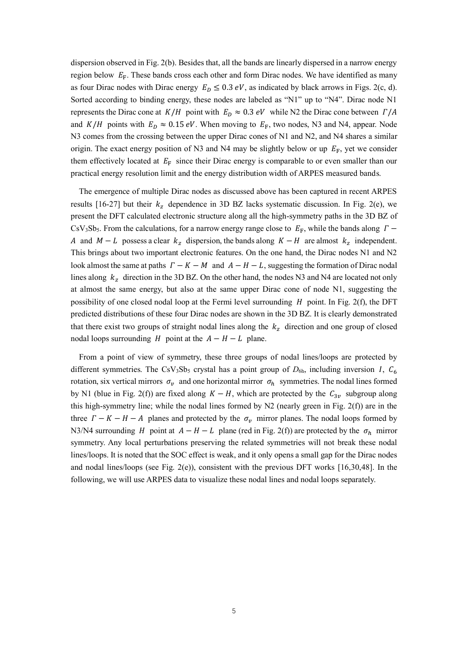dispersion observed in Fig. 2(b). Besides that, all the bands are linearly dispersed in a narrow energy region below  $E_F$ . These bands cross each other and form Dirac nodes. We have identified as many as four Dirac nodes with Dirac energy  $E_D \le 0.3 \text{ eV}$ , as indicated by black arrows in Figs. 2(c, d). Sorted according to binding energy, these nodes are labeled as "N1" up to "N4". Dirac node N1 represents the Dirac cone at  $K/H$  point with  $E_D \approx 0.3 \, eV$  while N2 the Dirac cone between  $\Gamma/A$ and  $K/H$  points with  $E_D \approx 0.15 \text{ eV}$ . When moving to  $E_F$ , two nodes, N3 and N4, appear. Node N3 comes from the crossing between the upper Dirac cones of N1 and N2, and N4 shares a similar origin. The exact energy position of N3 and N4 may be slightly below or up  $E_F$ , yet we consider them effectively located at  $E_F$  since their Dirac energy is comparable to or even smaller than our practical energy resolution limit and the energy distribution width of ARPES measured bands.

The emergence of multiple Dirac nodes as discussed above has been captured in recent ARPES results [16-27] but their  $k_z$  dependence in 3D BZ lacks systematic discussion. In Fig. 2(e), we present the DFT calculated electronic structure along all the high-symmetry paths in the 3D BZ of CsV<sub>3</sub>Sb<sub>5</sub>. From the calculations, for a narrow energy range close to  $E_F$ , while the bands along  $\Gamma$ A and  $M - L$  possess a clear  $k_z$  dispersion, the bands along  $K - H$  are almost  $k_z$  independent. This brings about two important electronic features. On the one hand, the Dirac nodes N1 and N2 look almost the same at paths  $\Gamma - K - M$  and  $A - H - L$ , suggesting the formation of Dirac nodal lines along  $k_z$  direction in the 3D BZ. On the other hand, the nodes N3 and N4 are located not only at almost the same energy, but also at the same upper Dirac cone of node N1, suggesting the possibility of one closed nodal loop at the Fermi level surrounding  $H$  point. In Fig. 2(f), the DFT predicted distributions of these four Dirac nodes are shown in the 3D BZ. It is clearly demonstrated that there exist two groups of straight nodal lines along the  $k<sub>z</sub>$  direction and one group of closed nodal loops surrounding  $H$  point at the  $A - H - L$  plane.

From a point of view of symmetry, these three groups of nodal lines/loops are protected by different symmetries. The CsV<sub>3</sub>Sb<sub>5</sub> crystal has a point group of  $D_{6h}$ , including inversion *I*,  $C_6$ rotation, six vertical mirrors  $\sigma_{v}$  and one horizontal mirror  $\sigma_{h}$  symmetries. The nodal lines formed by N1 (blue in Fig. 2(f)) are fixed along  $K - H$ , which are protected by the  $C_{3v}$  subgroup along this high-symmetry line; while the nodal lines formed by N2 (nearly green in Fig. 2(f)) are in the three  $\Gamma - K - H - A$  planes and protected by the  $\sigma_v$  mirror planes. The nodal loops formed by N3/N4 surrounding *H* point at  $A - H - L$  plane (red in Fig. 2(f)) are protected by the  $\sigma_h$  mirror symmetry. Any local perturbations preserving the related symmetries will not break these nodal lines/loops. It is noted that the SOC effect is weak, and it only opens a small gap for the Dirac nodes and nodal lines/loops (see Fig. 2(e)), consistent with the previous DFT works [16,30,48]. In the following, we will use ARPES data to visualize these nodal lines and nodal loops separately.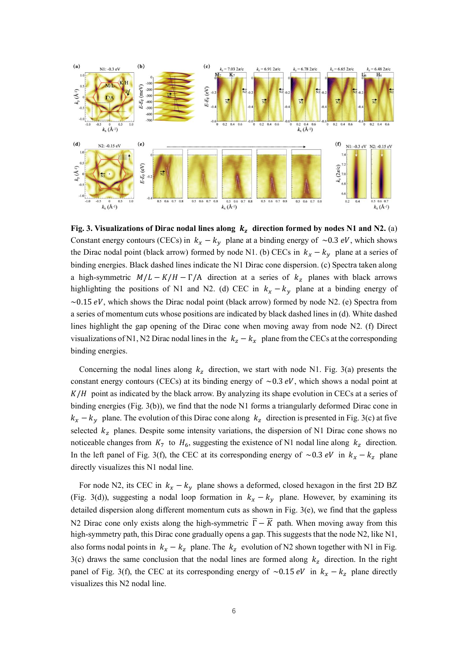

Fig. 3. Visualizations of Dirac nodal lines along  $k_z$  direction formed by nodes N1 and N2. (a) Constant energy contours (CECs) in  $k_x - k_y$  plane at a binding energy of ~0.3 eV, which shows the Dirac nodal point (black arrow) formed by node N1. (b) CECs in  $k_x - k_y$  plane at a series of binding energies. Black dashed lines indicate the N1 Dirac cone dispersion. (c) Spectra taken along a high-symmetric  $M/L - K/H - \Gamma/A$  direction at a series of  $k_z$  planes with black arrows highlighting the positions of N1 and N2. (d) CEC in  $k_x - k_y$  plane at a binding energy of  $\sim$ 0.15 eV, which shows the Dirac nodal point (black arrow) formed by node N2. (e) Spectra from a series of momentum cuts whose positions are indicated by black dashed lines in (d). White dashed lines highlight the gap opening of the Dirac cone when moving away from node N2. (f) Direct visualizations of N1, N2 Dirac nodal lines in the  $k_z - k_x$  plane from the CECs at the corresponding binding energies.

Concerning the nodal lines along  $k_z$  direction, we start with node N1. Fig. 3(a) presents the constant energy contours (CECs) at its binding energy of  $\sim 0.3$  eV, which shows a nodal point at  $K/H$  point as indicated by the black arrow. By analyzing its shape evolution in CECs at a series of binding energies (Fig. 3(b)), we find that the node N1 forms a triangularly deformed Dirac cone in  $k_x - k_y$  plane. The evolution of this Dirac cone along  $k_z$  direction is presented in Fig. 3(c) at five selected  $k_z$  planes. Despite some intensity variations, the dispersion of N1 Dirac cone shows no noticeable changes from  $K_7$  to  $H_6$ , suggesting the existence of N1 nodal line along  $k_z$  direction. In the left panel of Fig. 3(f), the CEC at its corresponding energy of ~0.3 *eV* in  $k_x - k_z$  plane directly visualizes this N1 nodal line.

For node N2, its CEC in  $k_x - k_y$  plane shows a deformed, closed hexagon in the first 2D BZ (Fig. 3(d)), suggesting a nodal loop formation in  $k_x - k_y$  plane. However, by examining its detailed dispersion along different momentum cuts as shown in Fig. 3(e), we find that the gapless N2 Dirac cone only exists along the high-symmetric  $\overline{\Gamma} - \overline{K}$  path. When moving away from this high-symmetry path, this Dirac cone gradually opens a gap. This suggests that the node N2, like N1, also forms nodal points in  $k_x - k_z$  plane. The  $k_z$  evolution of N2 shown together with N1 in Fig. 3(c) draws the same conclusion that the nodal lines are formed along  $k_z$  direction. In the right panel of Fig. 3(f), the CEC at its corresponding energy of ~0.15  $eV$  in  $k_x - k_z$  plane directly visualizes this N2 nodal line.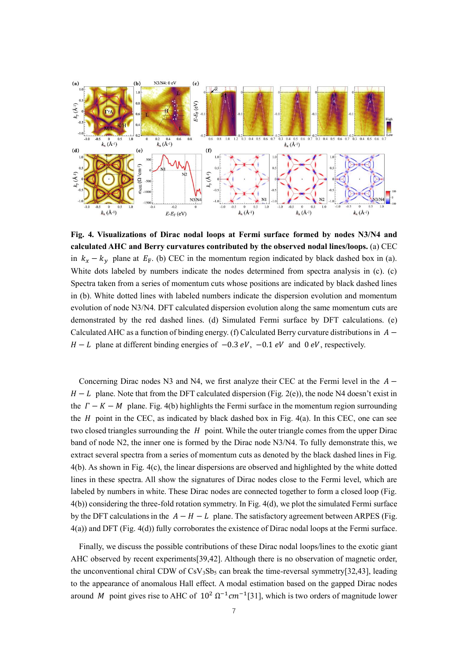

**Fig. 4. Visualizations of Dirac nodal loops at Fermi surface formed by nodes N3/N4 and calculated AHC and Berry curvatures contributed by the observed nodal lines/loops.** (a) CEC in  $k_x - k_y$  plane at  $E_F$ . (b) CEC in the momentum region indicated by black dashed box in (a). White dots labeled by numbers indicate the nodes determined from spectra analysis in (c). (c) Spectra taken from a series of momentum cuts whose positions are indicated by black dashed lines in (b). White dotted lines with labeled numbers indicate the dispersion evolution and momentum evolution of node N3/N4. DFT calculated dispersion evolution along the same momentum cuts are demonstrated by the red dashed lines. (d) Simulated Fermi surface by DFT calculations. (e) Calculated AHC as a function of binding energy. (f) Calculated Berry curvature distributions in  $A$  $H - L$  plane at different binding energies of  $-0.3$  eV,  $-0.1$  eV and 0 eV, respectively.

Concerning Dirac nodes N3 and N4, we first analyze their CEC at the Fermi level in the  $A H - L$  plane. Note that from the DFT calculated dispersion (Fig. 2(e)), the node N4 doesn't exist in the  $\Gamma - K - M$  plane. Fig. 4(b) highlights the Fermi surface in the momentum region surrounding the  $H$  point in the CEC, as indicated by black dashed box in Fig. 4(a). In this CEC, one can see two closed triangles surrounding the  $H$  point. While the outer triangle comes from the upper Dirac band of node N2, the inner one is formed by the Dirac node N3/N4. To fully demonstrate this, we extract several spectra from a series of momentum cuts as denoted by the black dashed lines in Fig. 4(b). As shown in Fig. 4(c), the linear dispersions are observed and highlighted by the white dotted lines in these spectra. All show the signatures of Dirac nodes close to the Fermi level, which are labeled by numbers in white. These Dirac nodes are connected together to form a closed loop (Fig. 4(b)) considering the three-fold rotation symmetry. In Fig. 4(d), we plot the simulated Fermi surface by the DFT calculations in the  $A - H - L$  plane. The satisfactory agreement between ARPES (Fig. 4(a)) and DFT (Fig. 4(d)) fully corroborates the existence of Dirac nodal loops at the Fermi surface.

Finally, we discuss the possible contributions of these Dirac nodal loops/lines to the exotic giant AHC observed by recent experiments[39,42]. Although there is no observation of magnetic order, the unconventional chiral CDW of  $CsV_3Sb_5$  can break the time-reversal symmetry[32,43], leading to the appearance of anomalous Hall effect. A modal estimation based on the gapped Dirac nodes around M point gives rise to AHC of  $10^2 \Omega^{-1}$ cm<sup>-1</sup>[31], which is two orders of magnitude lower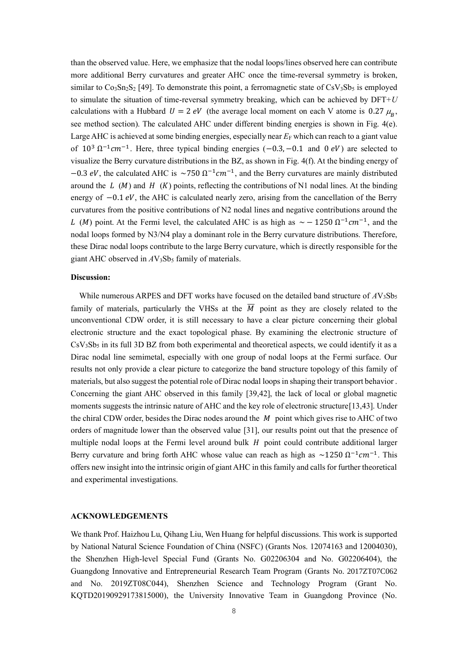than the observed value. Here, we emphasize that the nodal loops/lines observed here can contribute more additional Berry curvatures and greater AHC once the time-reversal symmetry is broken, similar to  $Co_3Sn_2S_2$  [49]. To demonstrate this point, a ferromagnetic state of  $CsV_3Sb_5$  is employed to simulate the situation of time-reversal symmetry breaking, which can be achieved by DFT+*U* calculations with a Hubbard  $U = 2 eV$  (the average local moment on each V atome is 0.27  $\mu_B$ , see method section). The calculated AHC under different binding energies is shown in Fig. 4(e). Large AHC is achieved at some binding energies, especially near  $E_F$  which can reach to a giant value of  $10^3 \Omega^{-1}$ cm<sup>-1</sup>. Here, three typical binding energies (-0.3, -0.1 and 0 eV) are selected to visualize the Berry curvature distributions in the BZ, as shown in Fig. 4(f). At the binding energy of −0.3 eV, the calculated AHC is  $\sim$ 750  $\Omega^{-1}$ cm<sup>-1</sup>, and the Berry curvatures are mainly distributed around the  $L(M)$  and  $H(K)$  points, reflecting the contributions of N1 nodal lines. At the binding energy of  $-0.1$  eV, the AHC is calculated nearly zero, arising from the cancellation of the Berry curvatures from the positive contributions of N2 nodal lines and negative contributions around the L (M) point. At the Fermi level, the calculated AHC is as high as  $\sim -1250 \Omega^{-1} cm^{-1}$ , and the nodal loops formed by N3/N4 play a dominant role in the Berry curvature distributions. Therefore, these Dirac nodal loops contribute to the large Berry curvature, which is directly responsible for the giant AHC observed in  $AV_3Sb_5$  family of materials.

#### **Discussion:**

While numerous ARPES and DFT works have focused on the detailed band structure of  $AV_3Sb_5$ family of materials, particularly the VHSs at the  $\overline{M}$  point as they are closely related to the unconventional CDW order, it is still necessary to have a clear picture concerning their global electronic structure and the exact topological phase. By examining the electronic structure of  $CsV<sub>3</sub>Sb<sub>5</sub>$  in its full 3D BZ from both experimental and theoretical aspects, we could identify it as a Dirac nodal line semimetal, especially with one group of nodal loops at the Fermi surface. Our results not only provide a clear picture to categorize the band structure topology of this family of materials, but also suggest the potential role of Dirac nodal loops in shaping their transport behavior . Concerning the giant AHC observed in this family [39,42], the lack of local or global magnetic moments suggests the intrinsic nature of AHC and the key role of electronic structure[13,43]. Under the chiral CDW order, besides the Dirac nodes around the  $\dot{M}$  point which gives rise to AHC of two orders of magnitude lower than the observed value [31], our results point out that the presence of multiple nodal loops at the Fermi level around bulk  $H$  point could contribute additional larger Berry curvature and bring forth AHC whose value can reach as high as  $\sim$ 1250  $\Omega^{-1}$ cm<sup>-1</sup>. This offers new insight into the intrinsic origin of giant AHC in this family and calls for further theoretical and experimental investigations.

#### **ACKNOWLEDGEMENTS**

We thank Prof. Haizhou Lu, Qihang Liu, Wen Huang for helpful discussions. This work is supported by National Natural Science Foundation of China (NSFC) (Grants Nos. 12074163 and 12004030), the Shenzhen High-level Special Fund (Grants No. G02206304 and No. G02206404), the Guangdong Innovative and Entrepreneurial Research Team Program (Grants No. 2017ZT07C062 and No. 2019ZT08C044), Shenzhen Science and Technology Program (Grant No. KQTD20190929173815000), the University Innovative Team in Guangdong Province (No.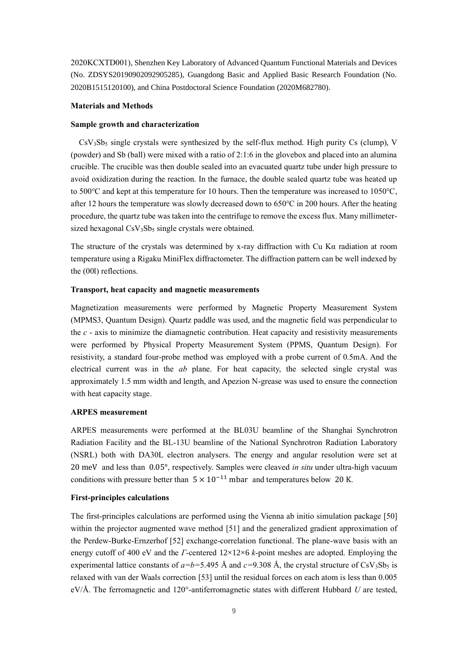2020KCXTD001), Shenzhen Key Laboratory of Advanced Quantum Functional Materials and Devices (No. ZDSYS20190902092905285), Guangdong Basic and Applied Basic Research Foundation (No. 2020B1515120100), and China Postdoctoral Science Foundation (2020M682780).

#### **Materials and Methods**

#### **Sample growth and characterization**

 $CsV_3Sb_5$  single crystals were synthesized by the self-flux method. High purity Cs (clump), V (powder) and Sb (ball) were mixed with a ratio of 2:1:6 in the glovebox and placed into an alumina crucible. The crucible was then double sealed into an evacuated quartz tube under high pressure to avoid oxidization during the reaction. In the furnace, the double sealed quartz tube was heated up to 500℃ and kept at this temperature for 10 hours. Then the temperature was increased to 1050℃, after 12 hours the temperature was slowly decreased down to 650℃ in 200 hours. After the heating procedure, the quartz tube was taken into the centrifuge to remove the excess flux. Many millimetersized hexagonal  $CsV_3Sb_5$  single crystals were obtained.

The structure of the crystals was determined by x-ray diffraction with Cu K $\alpha$  radiation at room temperature using a Rigaku MiniFlex diffractometer. The diffraction pattern can be well indexed by the (00l) reflections.

### **Transport, heat capacity and magnetic measurements**

Magnetization measurements were performed by Magnetic Property Measurement System (MPMS3, Quantum Design). Quartz paddle was used, and the magnetic field was perpendicular to the *c* - axis to minimize the diamagnetic contribution. Heat capacity and resistivity measurements were performed by Physical Property Measurement System (PPMS, Quantum Design). For resistivity, a standard four-probe method was employed with a probe current of 0.5mA. And the electrical current was in the *ab* plane. For heat capacity, the selected single crystal was approximately 1.5 mm width and length, and Apezion N-grease was used to ensure the connection with heat capacity stage.

#### **ARPES measurement**

ARPES measurements were performed at the BL03U beamline of the Shanghai Synchrotron Radiation Facility and the BL-13U beamline of the National Synchrotron Radiation Laboratory (NSRL) both with DA30L electron analysers. The energy and angular resolution were set at 20 meV and less than 0.05°, respectively. Samples were cleaved *in situ* under ultra-high vacuum conditions with pressure better than  $5 \times 10^{-11}$  mbar and temperatures below 20 K.

#### **First-principles calculations**

The first-principles calculations are performed using the Vienna ab initio simulation package [50] within the projector augmented wave method [51] and the generalized gradient approximation of the Perdew-Burke-Ernzerhof [52] exchange-correlation functional. The plane-wave basis with an energy cutoff of 400 eV and the *Г*-centered 12×12×6 *k*-point meshes are adopted. Employing the experimental lattice constants of  $a=b=5.495$  Å and  $c=9.308$  Å, the crystal structure of CsV<sub>3</sub>Sb<sub>5</sub> is relaxed with van der Waals correction [53] until the residual forces on each atom is less than 0.005 eV/Å. The ferromagnetic and 120°-antiferromagnetic states with different Hubbard *U* are tested,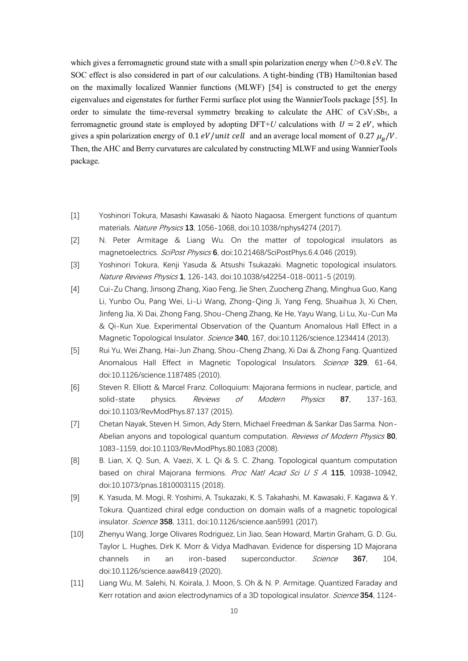which gives a ferromagnetic ground state with a small spin polarization energy when *U*>0.8 eV. The SOC effect is also considered in part of our calculations. A tight-binding (TB) Hamiltonian based on the maximally localized Wannier functions (MLWF) [54] is constructed to get the energy eigenvalues and eigenstates for further Fermi surface plot using the WannierTools package [55]. In order to simulate the time-reversal symmetry breaking to calculate the AHC of  $\text{CsV}_3\text{Sb}_5$ , a ferromagnetic ground state is employed by adopting DFT+*U* calculations with  $U = 2 eV$ , which gives a spin polarization energy of  $0.1$  *eV*/*unit cell* and an average local moment of  $0.27 \mu_B/V$ . Then, the AHC and Berry curvatures are calculated by constructing MLWF and using WannierTools package.

- [1] Yoshinori Tokura, Masashi Kawasaki & Naoto Nagaosa. Emergent functions of quantum materials. Nature Physics **13**, 1056-1068, doi:10.1038/nphys4274 (2017).
- [2] N. Peter Armitage & Liang Wu. On the matter of topological insulators as magnetoelectrics. SciPost Physics **6**, doi:10.21468/SciPostPhys.6.4.046 (2019).
- [3] Yoshinori Tokura, Kenji Yasuda & Atsushi Tsukazaki. Magnetic topological insulators. Nature Reviews Physics **1**, 126-143, doi:10.1038/s42254-018-0011-5 (2019).
- [4] Cui-Zu Chang, Jinsong Zhang, Xiao Feng, Jie Shen, Zuocheng Zhang, Minghua Guo, Kang Li, Yunbo Ou, Pang Wei, Li-Li Wang, Zhong-Qing Ji, Yang Feng, Shuaihua Ji, Xi Chen, Jinfeng Jia, Xi Dai, Zhong Fang, Shou-Cheng Zhang, Ke He, Yayu Wang, Li Lu, Xu-Cun Ma & Qi-Kun Xue. Experimental Observation of the Quantum Anomalous Hall Effect in a Magnetic Topological Insulator. Science **340**, 167, doi:10.1126/science.1234414 (2013).
- [5] Rui Yu, Wei Zhang, Hai-Jun Zhang, Shou-Cheng Zhang, Xi Dai & Zhong Fang. Quantized Anomalous Hall Effect in Magnetic Topological Insulators. Science **329**, 61-64, doi:10.1126/science.1187485 (2010).
- [6] Steven R. Elliott & Marcel Franz. Colloquium: Majorana fermions in nuclear, particle, and solid-state physics. Reviews of Modern Physics **87**, 137-163, doi:10.1103/RevModPhys.87.137 (2015).
- [7] Chetan Nayak, Steven H. Simon, Ady Stern, Michael Freedman & Sankar Das Sarma. Non-Abelian anyons and topological quantum computation. Reviews of Modern Physics **80**, 1083-1159, doi:10.1103/RevModPhys.80.1083 (2008).
- [8] B. Lian, X. Q. Sun, A. Vaezi, X. L. Qi & S. C. Zhang. Topological quantum computation based on chiral Majorana fermions. Proc Natl Acad Sci U S A **115**, 10938-10942, doi:10.1073/pnas.1810003115 (2018).
- [9] K. Yasuda, M. Mogi, R. Yoshimi, A. Tsukazaki, K. S. Takahashi, M. Kawasaki, F. Kagawa & Y. Tokura. Quantized chiral edge conduction on domain walls of a magnetic topological insulator. Science **358**, 1311, doi:10.1126/science.aan5991 (2017).
- [10] Zhenyu Wang, Jorge Olivares Rodriguez, Lin Jiao, Sean Howard, Martin Graham, G. D. Gu, Taylor L. Hughes, Dirk K. Morr & Vidya Madhavan. Evidence for dispersing 1D Majorana channels in an iron-based superconductor. Science **367**, 104, doi:10.1126/science.aaw8419 (2020).
- [11] Liang Wu, M. Salehi, N. Koirala, J. Moon, S. Oh & N. P. Armitage. Quantized Faraday and Kerr rotation and axion electrodynamics of a 3D topological insulator. Science **354**, 1124-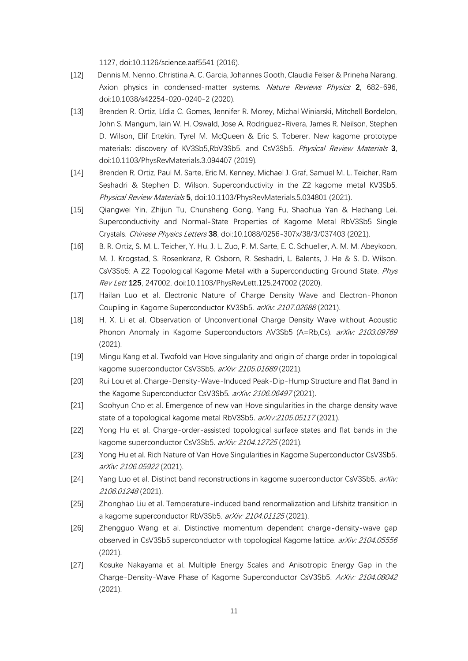1127, doi:10.1126/science.aaf5541 (2016).

- [12] Dennis M. Nenno, Christina A. C. Garcia, Johannes Gooth, Claudia Felser & Prineha Narang. Axion physics in condensed-matter systems. Nature Reviews Physics **2**, 682-696, doi:10.1038/s42254-020-0240-2 (2020).
- [13] Brenden R. Ortiz, Lídia C. Gomes, Jennifer R. Morey, Michal Winiarski, Mitchell Bordelon, John S. Mangum, Iain W. H. Oswald, Jose A. Rodriguez-Rivera, James R. Neilson, Stephen D. Wilson, Elif Ertekin, Tyrel M. McQueen & Eric S. Toberer. New kagome prototype materials: discovery of KV3Sb5,RbV3Sb5, and CsV3Sb5. Physical Review Materials **3**, doi:10.1103/PhysRevMaterials.3.094407 (2019).
- [14] Brenden R. Ortiz, Paul M. Sarte, Eric M. Kenney, Michael J. Graf, Samuel M. L. Teicher, Ram Seshadri & Stephen D. Wilson. Superconductivity in the Z2 kagome metal KV3Sb5. Physical Review Materials **5**, doi:10.1103/PhysRevMaterials.5.034801 (2021).
- [15] Qiangwei Yin, Zhijun Tu, Chunsheng Gong, Yang Fu, Shaohua Yan & Hechang Lei. Superconductivity and Normal-State Properties of Kagome Metal RbV3Sb5 Single Crystals. Chinese Physics Letters **38**, doi:10.1088/0256-307x/38/3/037403 (2021).
- [16] B. R. Ortiz, S. M. L. Teicher, Y. Hu, J. L. Zuo, P. M. Sarte, E. C. Schueller, A. M. M. Abeykoon, M. J. Krogstad, S. Rosenkranz, R. Osborn, R. Seshadri, L. Balents, J. He & S. D. Wilson. CsV3Sb5: A Z2 Topological Kagome Metal with a Superconducting Ground State. Phys Rev Lett **125**, 247002, doi:10.1103/PhysRevLett.125.247002 (2020).
- [17] Hailan Luo et al. Electronic Nature of Charge Density Wave and Electron-Phonon Coupling in Kagome Superconductor KV3Sb5. arXiv: 2107.02688 (2021).
- [18] H. X. Li et al. Observation of Unconventional Charge Density Wave without Acoustic Phonon Anomaly in Kagome Superconductors AV3Sb5 (A=Rb,Cs). arXiv: 2103.09769 (2021).
- [19] Mingu Kang et al. Twofold van Hove singularity and origin of charge order in topological kagome superconductor CsV3Sb5. arXiv: 2105.01689 (2021).
- [20] Rui Lou et al. Charge-Density-Wave-Induced Peak-Dip-Hump Structure and Flat Band in the Kagome Superconductor CsV3Sb5. arXiv: 2106.06497 (2021).
- [21] Soohyun Cho et al. Emergence of new van Hove singularities in the charge density wave state of a topological kagome metal RbV3Sb5. arXiv:2105.05117 (2021).
- [22] Yong Hu et al. Charge-order-assisted topological surface states and flat bands in the kagome superconductor CsV3Sb5. arXiv: 2104.12725 (2021).
- [23] Yong Hu et al. Rich Nature of Van Hove Singularities in Kagome Superconductor CsV3Sb5. arXiv: 2106.05922 (2021).
- [24] Yang Luo et al. Distinct band reconstructions in kagome superconductor CsV3Sb5. arXiv: 2106.01248 (2021).
- [25] Zhonghao Liu et al. Temperature-induced band renormalization and Lifshitz transition in a kagome superconductor RbV3Sb5. arXiv: 2104.01125 (2021).
- [26] Zhengguo Wang et al. Distinctive momentum dependent charge-density-wave gap observed in CsV3Sb5 superconductor with topological Kagome lattice. arXiv: 2104.05556 (2021).
- [27] Kosuke Nakayama et al. Multiple Energy Scales and Anisotropic Energy Gap in the Charge-Density-Wave Phase of Kagome Superconductor CsV3Sb5. ArXiv: 2104.08042 (2021).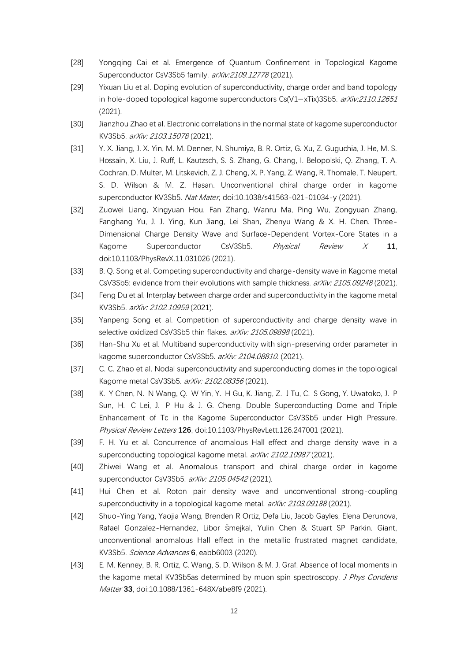- [28] Yongqing Cai et al. Emergence of Quantum Confinement in Topological Kagome Superconductor CsV3Sb5 family. arXiv:2109.12778 (2021).
- [29] Yixuan Liu et al. Doping evolution of superconductivity, charge order and band topology in hole-doped topological kagome superconductors Cs(V1−xTix)3Sb5. arXiv:2110.12651 (2021).
- [30] Jianzhou Zhao et al. Electronic correlations in the normal state of kagome superconductor KV3Sb5. arXiv: 2103.15078 (2021).
- [31] Y. X. Jiang, J. X. Yin, M. M. Denner, N. Shumiya, B. R. Ortiz, G. Xu, Z. Guguchia, J. He, M. S. Hossain, X. Liu, J. Ruff, L. Kautzsch, S. S. Zhang, G. Chang, I. Belopolski, Q. Zhang, T. A. Cochran, D. Multer, M. Litskevich, Z. J. Cheng, X. P. Yang, Z. Wang, R. Thomale, T. Neupert, S. D. Wilson & M. Z. Hasan. Unconventional chiral charge order in kagome superconductor KV3Sb5. Nat Mater, doi:10.1038/s41563-021-01034-y (2021).
- [32] Zuowei Liang, Xingyuan Hou, Fan Zhang, Wanru Ma, Ping Wu, Zongyuan Zhang, Fanghang Yu, J. J. Ying, Kun Jiang, Lei Shan, Zhenyu Wang & X. H. Chen. Three-Dimensional Charge Density Wave and Surface-Dependent Vortex-Core States in a Kagome Superconductor CsV3Sb5. Physical Review X **11**, doi:10.1103/PhysRevX.11.031026 (2021).
- [33] B. Q. Song et al. Competing superconductivity and charge-density wave in Kagome metal CsV3Sb5: evidence from their evolutions with sample thickness. arXiv: 2105.09248 (2021).
- [34] Feng Du et al. Interplay between charge order and superconductivity in the kagome metal KV3Sb5. arXiv: 2102.10959 (2021).
- [35] Yanpeng Song et al. Competition of superconductivity and charge density wave in selective oxidized CsV3Sb5 thin flakes. arXiv: 2105.09898 (2021).
- [36] Han-Shu Xu et al. Multiband superconductivity with sign-preserving order parameter in kagome superconductor CsV3Sb5. arXiv: 2104.08810. (2021).
- [37] C. C. Zhao et al. Nodal superconductivity and superconducting domes in the topological Kagome metal CsV3Sb5. arXiv: 2102.08356 (2021).
- [38] K. Y Chen, N. N Wang, Q. W Yin, Y. H Gu, K. Jiang, Z. J Tu, C. S Gong, Y. Uwatoko, J. P Sun, H. C Lei, J. P Hu & J. G. Cheng. Double Superconducting Dome and Triple Enhancement of Tc in the Kagome Superconductor CsV3Sb5 under High Pressure. Physical Review Letters **126**, doi:10.1103/PhysRevLett.126.247001 (2021).
- [39] F. H. Yu et al. Concurrence of anomalous Hall effect and charge density wave in a superconducting topological kagome metal. arXiv: 2102.10987 (2021).
- [40] Zhiwei Wang et al. Anomalous transport and chiral charge order in kagome superconductor CsV3Sb5. arXiv: 2105.04542 (2021).
- [41] Hui Chen et al. Roton pair density wave and unconventional strong-coupling superconductivity in a topological kagome metal. arXiv: 2103.09188 (2021).
- [42] Shuo-Ying Yang, Yaojia Wang, Brenden R Ortiz, Defa Liu, Jacob Gayles, Elena Derunova, Rafael Gonzalez-Hernandez, Libor Šmejkal, Yulin Chen & Stuart SP Parkin. Giant, unconventional anomalous Hall effect in the metallic frustrated magnet candidate, KV3Sb5. Science Advances **6**, eabb6003 (2020).
- [43] E. M. Kenney, B. R. Ortiz, C. Wang, S. D. Wilson & M. J. Graf. Absence of local moments in the kagome metal KV3Sb5as determined by muon spin spectroscopy. J Phys Condens Matter **33**, doi:10.1088/1361-648X/abe8f9 (2021).